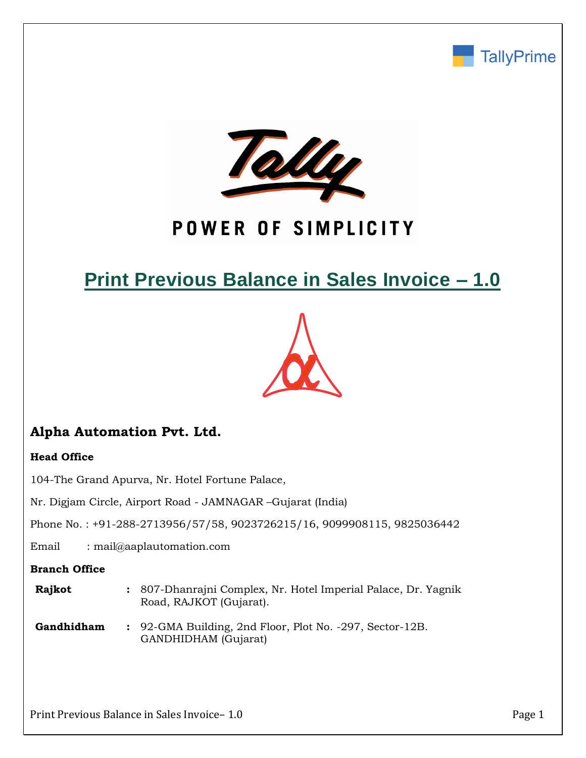



# POWER OF SIMPLICITY

# **Print Previous Balance in Sales Invoice – 1.0**



## **Alpha Automation Pvt. Ltd.**

#### **Head Office**

104-The Grand Apurva, Nr. Hotel Fortune Palace,

Nr. Digjam Circle, Airport Road - JAMNAGAR –Gujarat (India)

Phone No. : +91-288-2713956/57/58, 9023726215/16, 9099908115, 9825036442

Email : mail@aaplautomation.com

#### **Branch Office**

- **Rajkot :** 807-Dhanrajni Complex, Nr. Hotel Imperial Palace, Dr. Yagnik Road, RAJKOT (Gujarat).
- **Gandhidham :** 92-GMA Building, 2nd Floor, Plot No. -297, Sector-12B. GANDHIDHAM (Gujarat)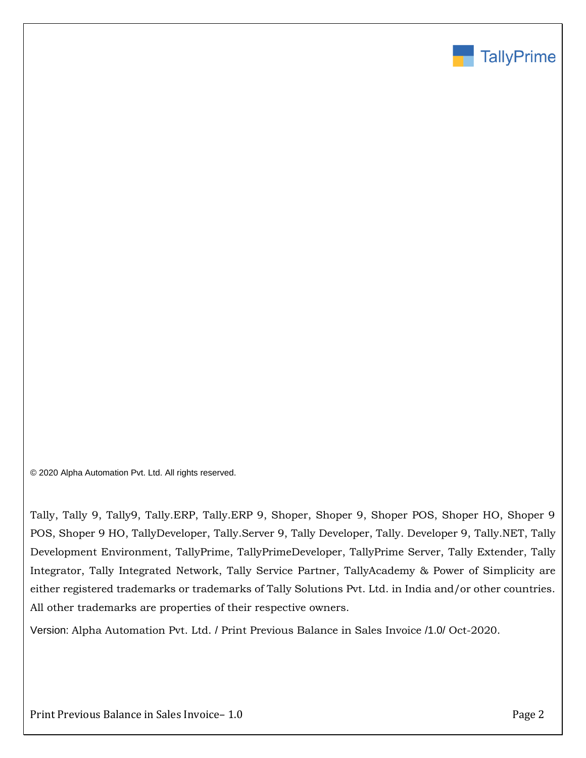

© 2020 Alpha Automation Pvt. Ltd. All rights reserved.

Tally, Tally 9, Tally9, Tally.ERP, Tally.ERP 9, Shoper, Shoper 9, Shoper POS, Shoper HO, Shoper 9 POS, Shoper 9 HO, TallyDeveloper, Tally.Server 9, Tally Developer, Tally. Developer 9, Tally.NET, Tally Development Environment, TallyPrime, TallyPrimeDeveloper, TallyPrime Server, Tally Extender, Tally Integrator, Tally Integrated Network, Tally Service Partner, TallyAcademy & Power of Simplicity are either registered trademarks or trademarks of Tally Solutions Pvt. Ltd. in India and/or other countries. All other trademarks are properties of their respective owners.

Version: Alpha Automation Pvt. Ltd. / Print Previous Balance in Sales Invoice /1.0/ Oct-2020.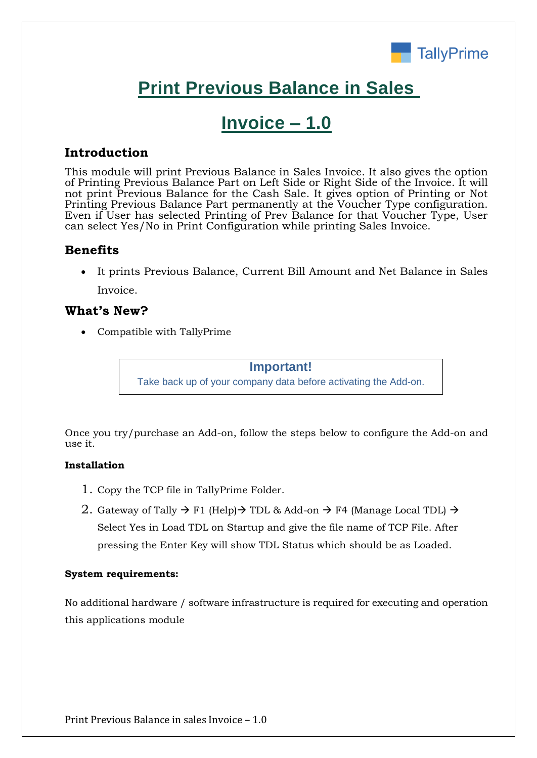

# **Print Previous Balance in Sales**

## **Invoice – 1.0**

### **Introduction**

This module will print Previous Balance in Sales Invoice. It also gives the option of Printing Previous Balance Part on Left Side or Right Side of the Invoice. It will not print Previous Balance for the Cash Sale. It gives option of Printing or Not Printing Previous Balance Part permanently at the Voucher Type configuration. Even if User has selected Printing of Prev Balance for that Voucher Type, User can select Yes/No in Print Configuration while printing Sales Invoice.

### **Benefits**

• It prints Previous Balance, Current Bill Amount and Net Balance in Sales Invoice.

### **What's New?**

• Compatible with TallyPrime

**Important!** Take back up of your company data before activating the Add-on.

Once you try/purchase an Add-on, follow the steps below to configure the Add-on and use it.

#### **Installation**

- 1. Copy the TCP file in TallyPrime Folder.
- 2. Gateway of Tally  $\rightarrow$  F1 (Help) $\rightarrow$  TDL & Add-on  $\rightarrow$  F4 (Manage Local TDL)  $\rightarrow$ Select Yes in Load TDL on Startup and give the file name of TCP File. After pressing the Enter Key will show TDL Status which should be as Loaded.

#### **System requirements:**

No additional hardware / software infrastructure is required for executing and operation this applications module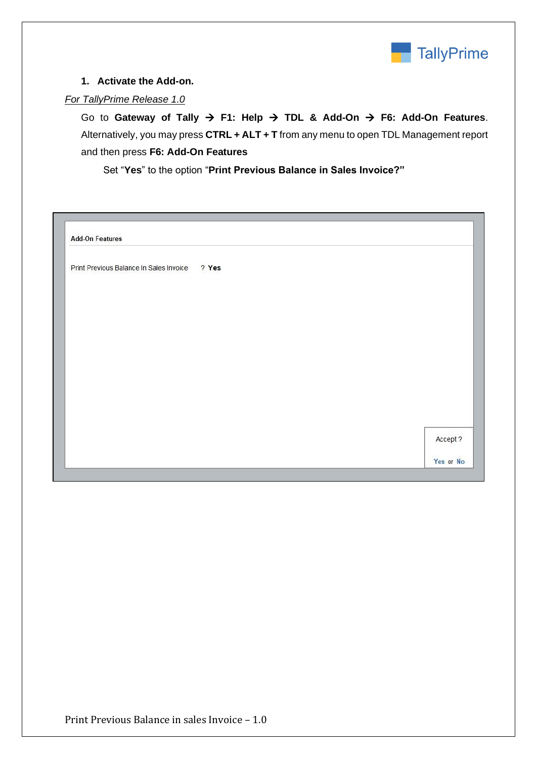

#### **1. Activate the Add-on.**

#### *For TallyPrime Release 1.0*

Go to **Gateway of Tally** → **F1: Help** → **TDL & Add-On** → **F6: Add-On Features**. Alternatively, you may press **CTRL + ALT + T** from any menu to open TDL Management report and then press **F6: Add-On Features**

Set "**Yes**" to the option "**Print Previous Balance in Sales Invoice?"**

| <b>Add-On Features</b>                        |          |  |
|-----------------------------------------------|----------|--|
| Print Previous Balance In Sales Invoice ? Yes |          |  |
|                                               |          |  |
|                                               |          |  |
|                                               |          |  |
|                                               |          |  |
|                                               |          |  |
|                                               |          |  |
|                                               | Accept ? |  |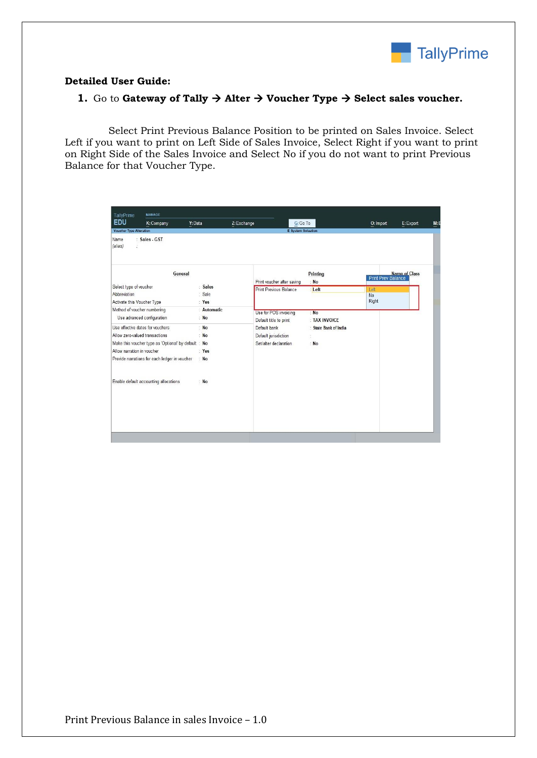

#### **Detailed User Guide:**

#### **1.** Go to **Gateway of Tally**  $\rightarrow$  **Alter**  $\rightarrow$  **Voucher Type**  $\rightarrow$  **Select sales voucher.**

Select Print Previous Balance Position to be printed on Sales Invoice. Select Left if you want to print on Left Side of Sales Invoice, Select Right if you want to print on Right Side of the Sales Invoice and Select No if you do not want to print Previous Balance for that Voucher Type.

| <b>EDU</b><br>K: Company                                                                                                                                                                                  | Y: Data                                   | Z: Exchange                                                   | $G:Go$ To                            | O: Import                  | E: Export     |
|-----------------------------------------------------------------------------------------------------------------------------------------------------------------------------------------------------------|-------------------------------------------|---------------------------------------------------------------|--------------------------------------|----------------------------|---------------|
| <b>Voucher Type Alteration</b><br>: Sales - GST<br>Name<br>(alias)<br>Ì.                                                                                                                                  |                                           |                                                               | <b>E</b> System Soluation            |                            |               |
|                                                                                                                                                                                                           | General                                   | Print voucher after saving                                    | Printing<br>: No                     | <b>Print Prev Balance</b>  | Name of Class |
| Select type of voucher<br>Abbreviation<br>Activate this Voucher Type                                                                                                                                      | : Sales<br>: Sale<br>: Yes                | <b>Print Previous Balance</b>                                 | Left                                 | Left<br><b>No</b><br>Right |               |
| Method of voucher numbering<br>Use advanced configuration                                                                                                                                                 | : Automatic<br>: $No$                     | Use for POS invoicing<br>Default title to print               | : No<br>: TAX INVOICE                |                            |               |
| Use effective dates for vouchers<br>Allow zero-valued transactions<br>Make this voucher type as 'Optional' by default : No<br>Allow narration in voucher<br>Provide narrations for each ledger in voucher | N <sub>o</sub><br>: $No$<br>: Yes<br>: No | Default bank<br>Default jurisdiction<br>Set/alter declaration | : State Bank of India<br>ċ<br>$:$ No |                            |               |
| Enable default accounting allocations                                                                                                                                                                     | : $No$                                    |                                                               |                                      |                            |               |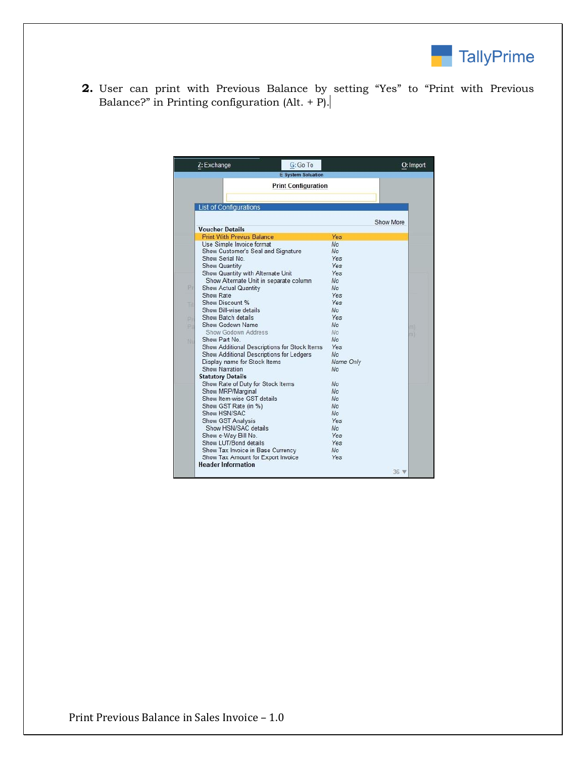

**2.** User can print with Previous Balance by setting "Yes" to "Print with Previous Balance?" in Printing configuration  $(AIt. + P).$ 

|     | G: Go To<br>Z: Exchange                      |                |                | O: Import |
|-----|----------------------------------------------|----------------|----------------|-----------|
|     | <b>E</b> System Soluation                    |                |                |           |
|     | <b>Print Configuration</b>                   |                |                |           |
|     |                                              |                |                |           |
|     | <b>List of Configurations</b>                |                |                |           |
|     |                                              |                |                |           |
|     |                                              |                | Show More      |           |
|     | <b>Voucher Details</b>                       |                |                |           |
|     | <b>Print With Previus Balance</b>            | Yes            |                |           |
|     | Use Simple Invoice format                    | <b>No</b>      |                |           |
|     | Show Customer's Seal and Signature           | N <sub>o</sub> |                |           |
|     | Show Serial No.                              | <b>Yes</b>     |                |           |
|     | Show Quantity                                | Yes            |                |           |
|     | Show Quantity with Alternate Unit            | <b>Yes</b>     |                |           |
|     | Show Alternate Unit in separate column       | N <sub>o</sub> |                |           |
| PE  | <b>Show Actual Quantity</b>                  | No.            |                |           |
|     | Show Rate                                    | <b>Yes</b>     |                |           |
| Til | Show Discount %                              | Yes            |                |           |
|     | Show Bill-wise details                       | No.            |                |           |
| b)  | Show Batch details                           | Yes            |                |           |
| b)  | Show Godown Name                             | No.            |                | m         |
|     | Show Godown Address                          | No.            |                | (n)       |
| ΝK  | Show Part No.                                | No             |                |           |
|     | Show Additional Descriptions for Stock Items | <b>Yes</b>     |                |           |
|     | Show Additional Descriptions for Ledgers     | No.            |                |           |
|     | Display name for Stock Items                 | Name Only      |                |           |
|     | Show Narration                               | <b>No</b>      |                |           |
|     | <b>Statutory Details</b>                     |                |                |           |
|     | Show Rate of Duty for Stock Items            | No             |                |           |
|     | Show MRP/Marginal                            | No             |                |           |
|     | Show Item-wise GST details                   | <b>No</b>      |                |           |
|     | Show GST Rate (in %)                         | <b>No</b>      |                |           |
|     | Show HSN/SAC                                 | N <sub>o</sub> |                |           |
|     | Show GST Analysis                            | Yes            |                |           |
|     | Show HSN/SAC details                         | N <sub>o</sub> |                |           |
|     | Show e-Way Bill No.                          | Yes            |                |           |
|     | Show LUT/Bond details                        | Yes            |                |           |
|     | Show Tax Invoice in Base Currency            | No.            |                |           |
|     | Show Tax Amount for Export Invoice           | Yes            |                |           |
|     | <b>Header Information</b>                    |                |                |           |
|     |                                              |                | $36 \text{ V}$ |           |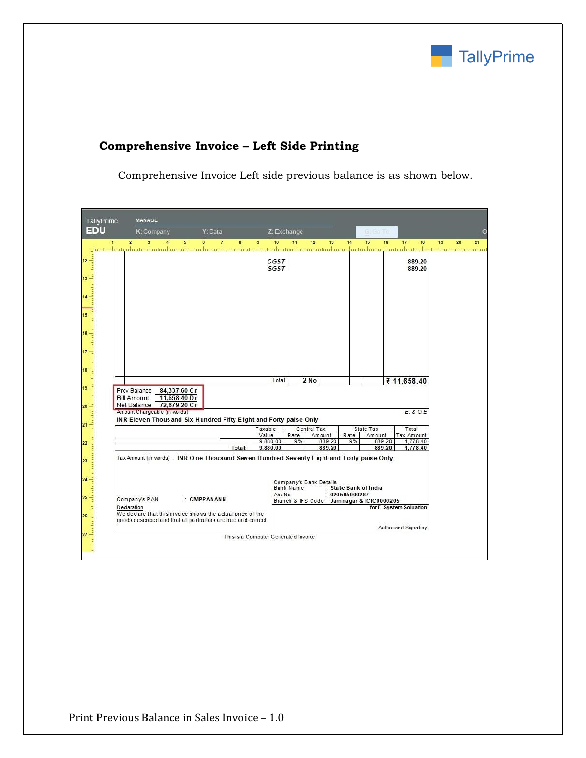

| K: Company<br>Y: Data<br>$\overline{2}$<br>$\overline{7}$<br>3<br>$\overline{\mathbf{A}}$<br>5<br>6<br>8<br><u>. համականականականականականականականականական անվանականական կազմանականականական անվանական համար համականական</u> | 10<br>9<br>CGST   | Z: Exchange<br>11 | 12<br>13               | 14                  | G: Go To                                  |                        |
|---------------------------------------------------------------------------------------------------------------------------------------------------------------------------------------------------------------------------|-------------------|-------------------|------------------------|---------------------|-------------------------------------------|------------------------|
|                                                                                                                                                                                                                           |                   |                   |                        |                     | 15<br>16                                  | 17<br>18               |
|                                                                                                                                                                                                                           |                   |                   |                        |                     |                                           |                        |
|                                                                                                                                                                                                                           |                   |                   |                        |                     |                                           | 889.20                 |
|                                                                                                                                                                                                                           | <b>SGST</b>       |                   |                        |                     |                                           | 889.20                 |
|                                                                                                                                                                                                                           |                   |                   |                        |                     |                                           |                        |
|                                                                                                                                                                                                                           |                   |                   |                        |                     |                                           |                        |
|                                                                                                                                                                                                                           |                   |                   |                        |                     |                                           |                        |
|                                                                                                                                                                                                                           |                   |                   |                        |                     |                                           |                        |
|                                                                                                                                                                                                                           |                   |                   |                        |                     |                                           |                        |
|                                                                                                                                                                                                                           |                   |                   |                        |                     |                                           |                        |
|                                                                                                                                                                                                                           |                   |                   |                        |                     |                                           |                        |
|                                                                                                                                                                                                                           |                   |                   |                        |                     |                                           |                        |
|                                                                                                                                                                                                                           |                   |                   |                        |                     |                                           |                        |
|                                                                                                                                                                                                                           |                   |                   |                        |                     |                                           |                        |
|                                                                                                                                                                                                                           | Total             |                   | 2 No                   |                     |                                           | ₹ 11,658.40            |
| Prev Balance<br>84,337.60 Cr                                                                                                                                                                                              |                   |                   |                        |                     |                                           |                        |
| 11,658.40 Dr<br><b>Bill Amount</b><br>72,679.20 Cr<br>Net Balance                                                                                                                                                         |                   |                   |                        |                     |                                           |                        |
| Amount Chargeable (in words)                                                                                                                                                                                              |                   |                   |                        |                     |                                           | E. & O.E.              |
| INR Eleven Thous and Six Hundred Fifty Eight and Forty paise Only                                                                                                                                                         |                   |                   |                        |                     |                                           |                        |
|                                                                                                                                                                                                                           | Taxable           |                   | Central Tax            |                     | State Tax                                 | Total                  |
|                                                                                                                                                                                                                           | Value<br>9,880.00 | Rate<br>9%        | Amount<br>889.20       | Rate<br>9%          | Amount<br>889.20                          | Tax Amount<br>1,778.40 |
| Total:                                                                                                                                                                                                                    | 9,880.00          |                   | 889.20                 |                     | 889.20                                    | 1,778.40               |
| Tax Amount (in words): INR One Thousand Seven Hundred Seventy Eight and Forty paise Only                                                                                                                                  |                   |                   |                        |                     |                                           |                        |
|                                                                                                                                                                                                                           |                   |                   |                        |                     |                                           |                        |
|                                                                                                                                                                                                                           |                   |                   | Company's Bank Details |                     |                                           |                        |
|                                                                                                                                                                                                                           |                   | Bank Name         |                        | State Bank of India |                                           |                        |
| Company's PAN<br>: CMPPANANN                                                                                                                                                                                              |                   | $A/c$ No.         |                        | : 020505000287      | Branch & IFS Code: Jamnagar & ICIC0000205 |                        |
| Declaration                                                                                                                                                                                                               |                   |                   |                        |                     |                                           | for E System Soluation |
| We declare that this invoice shows the actual price of the<br>goods described and that all particulars are true and correct.                                                                                              |                   |                   |                        |                     |                                           |                        |
|                                                                                                                                                                                                                           |                   |                   |                        |                     |                                           | Authorised Signatory   |

### **Comprehensive Invoice – Left Side Printing**

Comprehensive Invoice Left side previous balance is as shown below.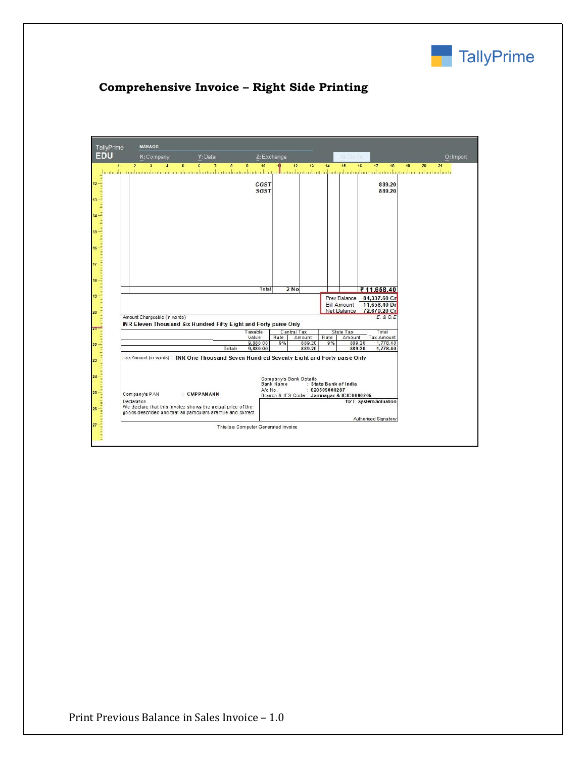

## **Comprehensive Invoice – Right Side Printing**

|             |               |                                                                                          |                                      |            |                        |                |                                           |                        | O: Import            |
|-------------|---------------|------------------------------------------------------------------------------------------|--------------------------------------|------------|------------------------|----------------|-------------------------------------------|------------------------|----------------------|
|             |               |                                                                                          |                                      |            |                        |                |                                           |                        | $\frac{1}{\sqrt{2}}$ |
|             |               |                                                                                          |                                      |            |                        |                |                                           |                        |                      |
|             |               |                                                                                          |                                      |            |                        |                |                                           |                        |                      |
|             |               |                                                                                          |                                      |            |                        |                |                                           |                        |                      |
|             |               |                                                                                          |                                      |            |                        |                |                                           |                        |                      |
|             |               |                                                                                          |                                      |            |                        |                |                                           |                        |                      |
|             |               |                                                                                          |                                      |            |                        |                |                                           |                        |                      |
|             |               |                                                                                          |                                      |            |                        |                |                                           |                        |                      |
|             |               |                                                                                          |                                      |            |                        |                |                                           |                        |                      |
|             |               |                                                                                          |                                      |            |                        |                |                                           |                        |                      |
|             |               |                                                                                          |                                      |            |                        |                |                                           |                        |                      |
|             |               |                                                                                          |                                      |            |                        |                |                                           |                        |                      |
|             |               |                                                                                          |                                      |            |                        |                |                                           |                        |                      |
|             |               |                                                                                          |                                      |            |                        |                |                                           |                        |                      |
|             |               |                                                                                          |                                      |            |                        |                |                                           |                        |                      |
|             |               |                                                                                          | Taxable                              |            | Central Tax            |                | State Tax                                 | Total                  |                      |
|             |               |                                                                                          | Value<br>9,880.00                    | Rate<br>9% | Amount<br>889.20       | Rate<br>9%     | Amount<br>889.20                          | Tax Amount<br>1,778.40 |                      |
|             |               | Total:                                                                                   | 9,880.00                             |            | 889.20                 |                | 889.20                                    | 1,778.40               |                      |
|             |               | Tax Amount (in words): INR One Thousand Seven Hundred Seventy Eight and Forty paise Only |                                      |            |                        |                |                                           |                        |                      |
|             |               |                                                                                          |                                      | Bank Name  | Company's Bank Details |                | : State Bank of India                     |                        |                      |
|             | Company's PAN | : CMPPANANN                                                                              |                                      | $A/c$ No.  |                        | : 020505000287 | Branch & IFS Code: Jamnagar & ICIC0000205 |                        |                      |
| Declaration |               | We declare that this invoice shows the actual price of the                               |                                      |            |                        |                |                                           | for E System Soluation |                      |
|             |               | goods described and that all particulars are true and correct.                           |                                      |            |                        |                |                                           | Authorised Signatory   |                      |
|             |               |                                                                                          | This is a Computer Generated Invoice |            |                        |                |                                           |                        |                      |
|             |               |                                                                                          |                                      |            |                        |                |                                           |                        |                      |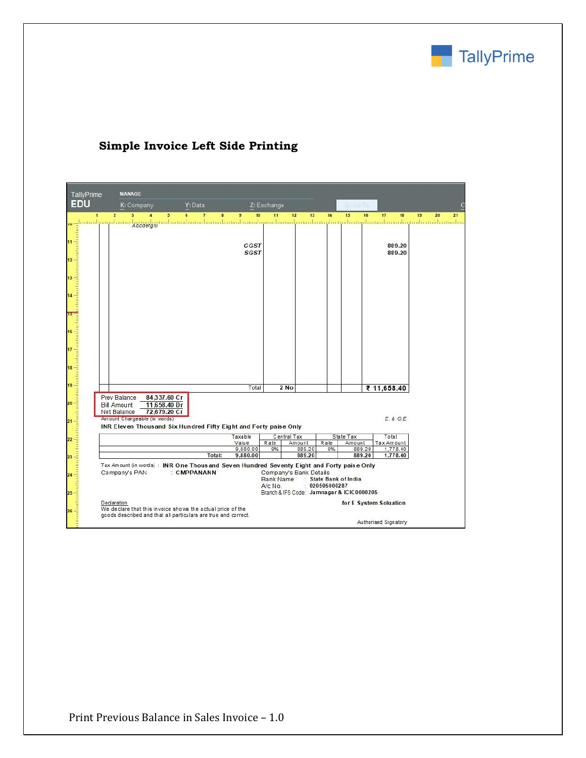

| TallyPrime | <b>MANAGE</b>                                                                                                            |                              |        |                      |                  |                                           |              |                       |                        |    |
|------------|--------------------------------------------------------------------------------------------------------------------------|------------------------------|--------|----------------------|------------------|-------------------------------------------|--------------|-----------------------|------------------------|----|
| <b>EDU</b> | K: Company                                                                                                               | Y: Data                      |        |                      | Z: Exchange      |                                           |              |                       |                        |    |
| 4          | $\overline{2}$<br>$\overline{\mathbf{3}}$<br>$\overline{\mathbf{4}}$                                                     | $\overline{7}$<br>5<br>6     | 8      | 9<br>10              | 11               | 12<br>13                                  | 14           | 15<br>16              | 17<br>18               | 19 |
|            | __intinilyatyihattalyggygyjtyjtadaatabataaliataaliatadaatadaataaliataaliataaliataaliatadaataaliataaliataaliataaliataalia |                              |        |                      |                  |                                           |              |                       |                        |    |
|            |                                                                                                                          |                              |        |                      |                  |                                           |              |                       |                        |    |
|            |                                                                                                                          |                              |        | CGST<br><b>SGST</b>  |                  |                                           |              |                       | 889.20<br>889.20       |    |
|            |                                                                                                                          |                              |        |                      |                  |                                           |              |                       |                        |    |
|            |                                                                                                                          |                              |        |                      |                  |                                           |              |                       |                        |    |
|            |                                                                                                                          |                              |        |                      |                  |                                           |              |                       |                        |    |
|            |                                                                                                                          |                              |        |                      |                  |                                           |              |                       |                        |    |
|            |                                                                                                                          |                              |        |                      |                  |                                           |              |                       |                        |    |
|            |                                                                                                                          |                              |        |                      |                  |                                           |              |                       |                        |    |
|            |                                                                                                                          |                              |        |                      |                  |                                           |              |                       |                        |    |
|            |                                                                                                                          |                              |        |                      |                  |                                           |              |                       |                        |    |
|            |                                                                                                                          |                              |        |                      |                  |                                           |              |                       |                        |    |
|            |                                                                                                                          |                              |        |                      |                  |                                           |              |                       |                        |    |
|            |                                                                                                                          |                              |        |                      |                  |                                           |              |                       |                        |    |
|            |                                                                                                                          |                              |        |                      |                  |                                           |              |                       |                        |    |
|            |                                                                                                                          |                              |        | Total                |                  | 2 No                                      |              |                       | ₹ 11,658.40            |    |
|            | Prev Balance                                                                                                             | 84,337.60 Cr                 |        |                      |                  |                                           |              |                       |                        |    |
|            | <b>Bill Amount</b><br>Net Balance                                                                                        | 11,658.40 Dr<br>72,679.20 Cr |        |                      |                  |                                           |              |                       |                        |    |
|            | Amount Chargeable (in words)                                                                                             |                              |        |                      |                  |                                           |              |                       | E. & O.E.              |    |
|            | INR Eleven Thous and Six Hundred Fifty Eight and Forty paise Only                                                        |                              |        | Taxable              |                  | Central Tax                               |              | State Tax             | Total                  |    |
|            |                                                                                                                          |                              |        | Value                | Rate             | Amount                                    | Rate         | Amount                | Tax Amount             |    |
|            |                                                                                                                          |                              | Total: | 9,880.00<br>9,880.00 | 9%               | 889.20<br>889.20                          | 9%           | 889.20<br>889.20      | 1,778.40<br>1,778.40   |    |
|            | Tax Amount (in words) : INR One Thous and Seven Hundred Seventy Eight and Forty paise Only                               |                              |        |                      |                  |                                           |              |                       |                        |    |
|            | Company's PAN                                                                                                            | : CMPPANANN                  |        |                      | <b>Bank Name</b> | Company's Bank Details                    |              | : State Bank of India |                        |    |
|            |                                                                                                                          |                              |        |                      | A/c No.          |                                           | 020505000287 |                       |                        |    |
|            |                                                                                                                          |                              |        |                      |                  | Branch & IFS Code: Jamnagar & ICIC0000205 |              |                       |                        |    |
|            | Declaration<br>We declare that this invoice shows the actual price of the                                                |                              |        |                      |                  |                                           |              |                       | for E System Soluation |    |
|            | goods described and that all particulars are true and correct.                                                           |                              |        |                      |                  |                                           |              |                       |                        |    |
|            |                                                                                                                          |                              |        |                      |                  |                                           |              |                       | Authorised Signatory   |    |

## **Simple Invoice Left Side Printing**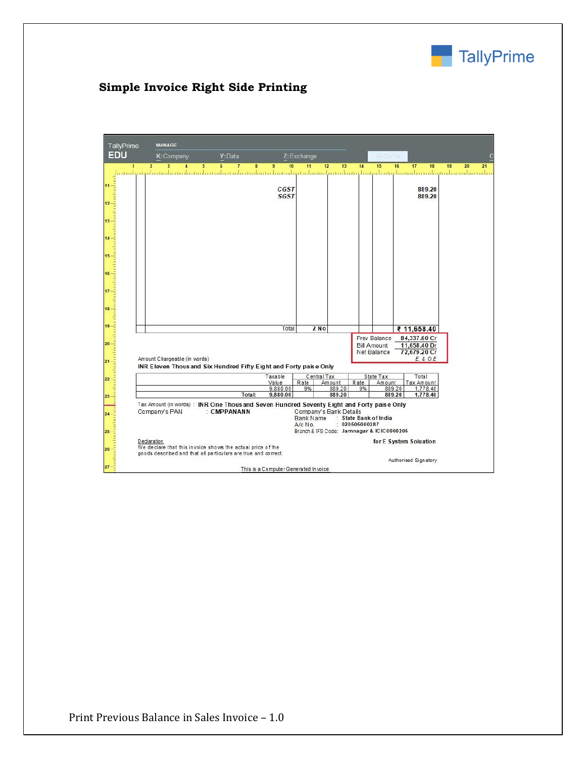

## **Simple Invoice Right Side Printing**

| TallyPrime<br><b>EDU</b> | <b>MANAGE</b>                                                                                                                                                                      | Y: Data                  |                                      |                                                                                             |                  |                                         | 610                                |                              |          |
|--------------------------|------------------------------------------------------------------------------------------------------------------------------------------------------------------------------------|--------------------------|--------------------------------------|---------------------------------------------------------------------------------------------|------------------|-----------------------------------------|------------------------------------|------------------------------|----------|
|                          | K: Company                                                                                                                                                                         |                          |                                      | Z: Exchange                                                                                 |                  |                                         |                                    |                              |          |
|                          | $\overline{2}$<br>$\overline{\mathbf{3}}$<br>4<br>5<br>شابه واستسلامه واستنسانه واستوابها وماسانه واستاموه واستسلموا ومتواسع واستسلموا ومسامعا واستسلموا ومستواسيا ورشوا واستسلموا | $\overline{7}$<br>6<br>8 | $\overline{9}$<br>10                 | 11                                                                                          | 12<br>13         | 14                                      | 15                                 | 16<br>17<br>18               | 19<br>20 |
|                          |                                                                                                                                                                                    |                          |                                      |                                                                                             |                  |                                         |                                    |                              |          |
|                          |                                                                                                                                                                                    |                          | CGST                                 |                                                                                             |                  |                                         |                                    | 889.20                       |          |
|                          |                                                                                                                                                                                    |                          | <b>SGST</b>                          |                                                                                             |                  |                                         |                                    | 889.20                       |          |
|                          |                                                                                                                                                                                    |                          |                                      |                                                                                             |                  |                                         |                                    |                              |          |
|                          |                                                                                                                                                                                    |                          |                                      |                                                                                             |                  |                                         |                                    |                              |          |
|                          |                                                                                                                                                                                    |                          |                                      |                                                                                             |                  |                                         |                                    |                              |          |
|                          |                                                                                                                                                                                    |                          |                                      |                                                                                             |                  |                                         |                                    |                              |          |
|                          |                                                                                                                                                                                    |                          |                                      |                                                                                             |                  |                                         |                                    |                              |          |
|                          |                                                                                                                                                                                    |                          |                                      |                                                                                             |                  |                                         |                                    |                              |          |
|                          |                                                                                                                                                                                    |                          |                                      |                                                                                             |                  |                                         |                                    |                              |          |
|                          |                                                                                                                                                                                    |                          |                                      |                                                                                             |                  |                                         |                                    |                              |          |
|                          |                                                                                                                                                                                    |                          |                                      |                                                                                             |                  |                                         |                                    |                              |          |
|                          |                                                                                                                                                                                    |                          |                                      |                                                                                             |                  |                                         |                                    |                              |          |
|                          |                                                                                                                                                                                    |                          |                                      |                                                                                             |                  |                                         |                                    |                              |          |
|                          |                                                                                                                                                                                    |                          |                                      |                                                                                             |                  |                                         |                                    |                              |          |
|                          |                                                                                                                                                                                    |                          |                                      |                                                                                             |                  |                                         |                                    |                              |          |
|                          |                                                                                                                                                                                    |                          | Total                                | 2 No                                                                                        |                  |                                         |                                    | ₹ 11,658.40                  |          |
|                          |                                                                                                                                                                                    |                          |                                      |                                                                                             |                  |                                         | Prev Balance<br><b>Bill Amount</b> | 84,337.60 Cr<br>11,658.40 Dr |          |
|                          |                                                                                                                                                                                    |                          |                                      |                                                                                             |                  |                                         | <b>Net Balance</b>                 | 72,679.20 Cr                 |          |
|                          | Amount Chargeable (in words)                                                                                                                                                       |                          |                                      |                                                                                             |                  |                                         |                                    | E. & O.E.                    |          |
|                          | INR Eleven Thous and Six Hundred Fifty Eight and Forty paise Only                                                                                                                  |                          |                                      |                                                                                             |                  |                                         |                                    |                              |          |
|                          |                                                                                                                                                                                    |                          | Taxable<br>Value                     | Central Tax<br>Rate                                                                         | Amount           | Rate                                    | State Tax<br>Amount                | Total<br>Tax Amount          |          |
|                          |                                                                                                                                                                                    |                          | 9,880.00                             | 9%                                                                                          | 889.20<br>889.20 | 9%                                      | 889.20<br>889.20                   | 1,778.40                     |          |
|                          |                                                                                                                                                                                    | Total:                   | 9,880.00                             |                                                                                             |                  |                                         |                                    | 1,778.40                     |          |
|                          | Tax Amount (in words) : INR One Thous and Seven Hundred Seventy Eight and Forty paise Only<br>Company's PAN                                                                        | : CMPPANANN              |                                      | Company's Bank Details<br>Bank Name<br>A/c No.<br>Branch & IFS Code: Jamnagar & ICIC0000205 |                  | : State Bank of India<br>: 020505000287 |                                    |                              |          |
|                          | Declaration                                                                                                                                                                        |                          |                                      |                                                                                             |                  |                                         |                                    | for E System Soluation       |          |
|                          | We declare that this invoice shows the actual price of the<br>goods described and that all particulars are true and correct.                                                       |                          |                                      |                                                                                             |                  |                                         |                                    |                              |          |
|                          |                                                                                                                                                                                    |                          |                                      |                                                                                             |                  |                                         |                                    | Authorised Signatory         |          |
|                          |                                                                                                                                                                                    |                          | This is a Computer Generated Invoice |                                                                                             |                  |                                         |                                    |                              |          |

Print Previous Balance in Sales Invoice – 1.0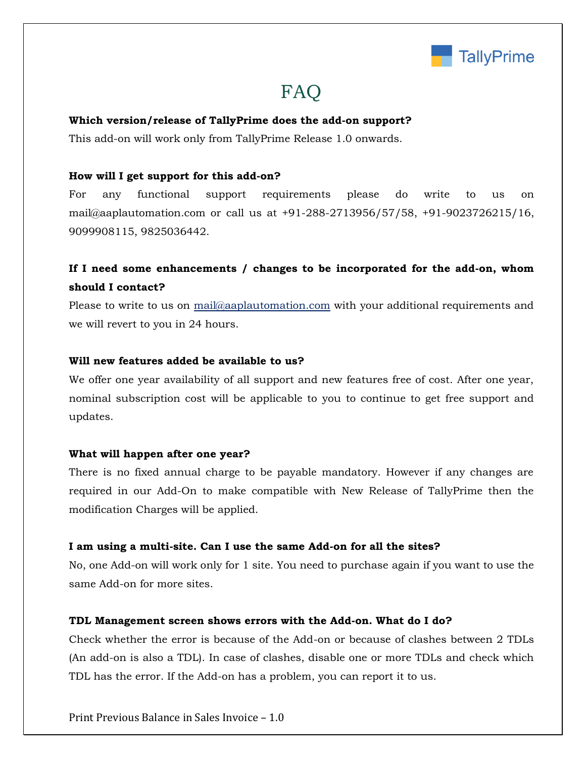

## FAQ

#### **Which version/release of TallyPrime does the add-on support?**

This add-on will work only from TallyPrime Release 1.0 onwards.

#### **How will I get support for this add-on?**

For any functional support requirements please do write to us on mail@aaplautomation.com or call us at +91-288-2713956/57/58, +91-9023726215/16, 9099908115, 9825036442.

### **If I need some enhancements / changes to be incorporated for the add-on, whom should I contact?**

Please to write to us on mail@aaplautomation.com with your additional requirements and we will revert to you in 24 hours.

#### **Will new features added be available to us?**

We offer one year availability of all support and new features free of cost. After one year, nominal subscription cost will be applicable to you to continue to get free support and updates.

#### **What will happen after one year?**

There is no fixed annual charge to be payable mandatory. However if any changes are required in our Add-On to make compatible with New Release of TallyPrime then the modification Charges will be applied.

#### **I am using a multi-site. Can I use the same Add-on for all the sites?**

No, one Add-on will work only for 1 site. You need to purchase again if you want to use the same Add-on for more sites.

#### **TDL Management screen shows errors with the Add-on. What do I do?**

Check whether the error is because of the Add-on or because of clashes between 2 TDLs (An add-on is also a TDL). In case of clashes, disable one or more TDLs and check which TDL has the error. If the Add-on has a problem, you can report it to us.